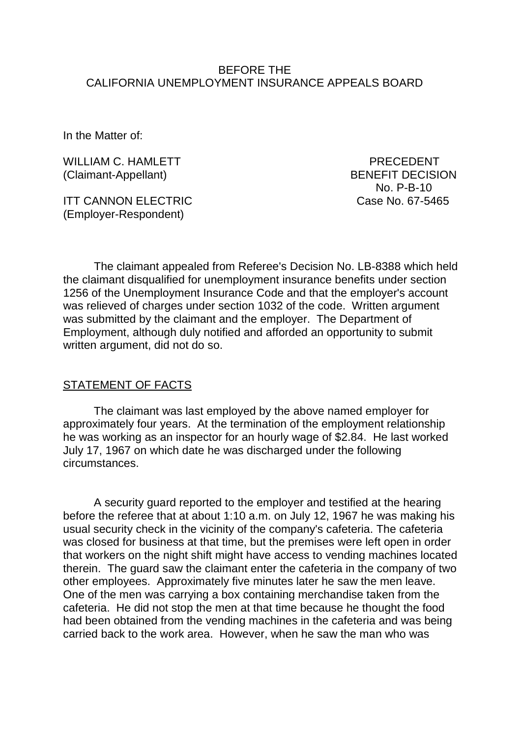#### BEFORE THE CALIFORNIA UNEMPLOYMENT INSURANCE APPEALS BOARD

In the Matter of:

WILLIAM C. HAMLETT **EXECUTE:** PRECEDENT (Claimant-Appellant) BENEFIT DECISION

ITT CANNON ELECTRIC Case No. 67-5465 (Employer-Respondent)

No. P-B-10

The claimant appealed from Referee's Decision No. LB-8388 which held the claimant disqualified for unemployment insurance benefits under section 1256 of the Unemployment Insurance Code and that the employer's account was relieved of charges under section 1032 of the code. Written argument was submitted by the claimant and the employer. The Department of Employment, although duly notified and afforded an opportunity to submit written argument, did not do so.

#### STATEMENT OF FACTS

The claimant was last employed by the above named employer for approximately four years. At the termination of the employment relationship he was working as an inspector for an hourly wage of \$2.84. He last worked July 17, 1967 on which date he was discharged under the following circumstances.

A security guard reported to the employer and testified at the hearing before the referee that at about 1:10 a.m. on July 12, 1967 he was making his usual security check in the vicinity of the company's cafeteria. The cafeteria was closed for business at that time, but the premises were left open in order that workers on the night shift might have access to vending machines located therein. The guard saw the claimant enter the cafeteria in the company of two other employees. Approximately five minutes later he saw the men leave. One of the men was carrying a box containing merchandise taken from the cafeteria. He did not stop the men at that time because he thought the food had been obtained from the vending machines in the cafeteria and was being carried back to the work area. However, when he saw the man who was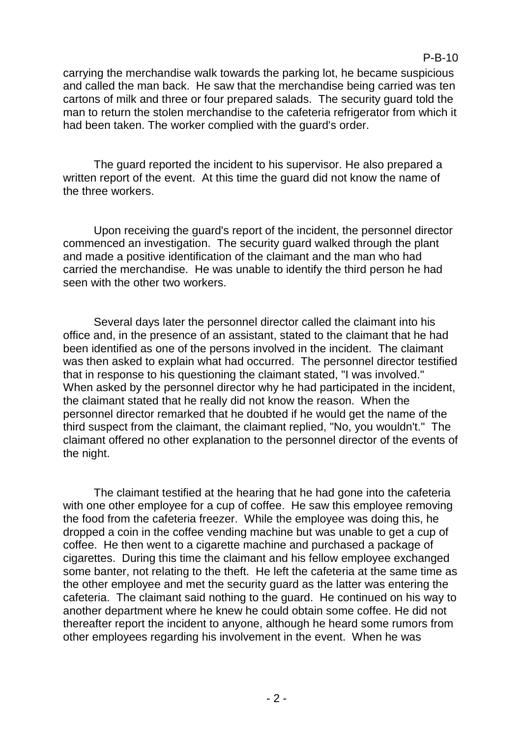#### P-B-10

carrying the merchandise walk towards the parking lot, he became suspicious and called the man back. He saw that the merchandise being carried was ten cartons of milk and three or four prepared salads. The security guard told the man to return the stolen merchandise to the cafeteria refrigerator from which it had been taken. The worker complied with the guard's order.

The guard reported the incident to his supervisor. He also prepared a written report of the event. At this time the guard did not know the name of the three workers.

Upon receiving the guard's report of the incident, the personnel director commenced an investigation. The security guard walked through the plant and made a positive identification of the claimant and the man who had carried the merchandise. He was unable to identify the third person he had seen with the other two workers.

Several days later the personnel director called the claimant into his office and, in the presence of an assistant, stated to the claimant that he had been identified as one of the persons involved in the incident. The claimant was then asked to explain what had occurred. The personnel director testified that in response to his questioning the claimant stated, "I was involved." When asked by the personnel director why he had participated in the incident, the claimant stated that he really did not know the reason. When the personnel director remarked that he doubted if he would get the name of the third suspect from the claimant, the claimant replied, "No, you wouldn't." The claimant offered no other explanation to the personnel director of the events of the night.

The claimant testified at the hearing that he had gone into the cafeteria with one other employee for a cup of coffee. He saw this employee removing the food from the cafeteria freezer. While the employee was doing this, he dropped a coin in the coffee vending machine but was unable to get a cup of coffee. He then went to a cigarette machine and purchased a package of cigarettes. During this time the claimant and his fellow employee exchanged some banter, not relating to the theft. He left the cafeteria at the same time as the other employee and met the security guard as the latter was entering the cafeteria. The claimant said nothing to the guard. He continued on his way to another department where he knew he could obtain some coffee. He did not thereafter report the incident to anyone, although he heard some rumors from other employees regarding his involvement in the event. When he was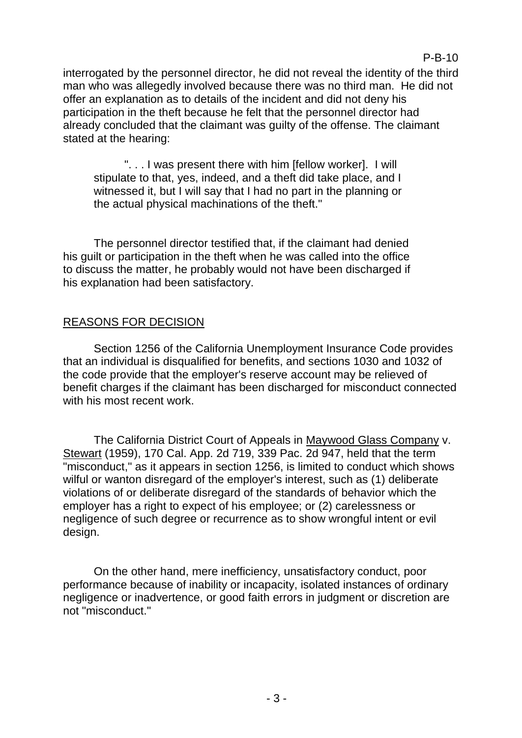interrogated by the personnel director, he did not reveal the identity of the third man who was allegedly involved because there was no third man. He did not offer an explanation as to details of the incident and did not deny his participation in the theft because he felt that the personnel director had already concluded that the claimant was guilty of the offense. The claimant stated at the hearing:

". . . I was present there with him [fellow worker]. I will stipulate to that, yes, indeed, and a theft did take place, and I witnessed it, but I will say that I had no part in the planning or the actual physical machinations of the theft."

The personnel director testified that, if the claimant had denied his guilt or participation in the theft when he was called into the office to discuss the matter, he probably would not have been discharged if his explanation had been satisfactory.

## REASONS FOR DECISION

Section 1256 of the California Unemployment Insurance Code provides that an individual is disqualified for benefits, and sections 1030 and 1032 of the code provide that the employer's reserve account may be relieved of benefit charges if the claimant has been discharged for misconduct connected with his most recent work.

The California District Court of Appeals in Maywood Glass Company v. Stewart (1959), 170 Cal. App. 2d 719, 339 Pac. 2d 947, held that the term "misconduct," as it appears in section 1256, is limited to conduct which shows wilful or wanton disregard of the employer's interest, such as (1) deliberate violations of or deliberate disregard of the standards of behavior which the employer has a right to expect of his employee; or (2) carelessness or negligence of such degree or recurrence as to show wrongful intent or evil design.

On the other hand, mere inefficiency, unsatisfactory conduct, poor performance because of inability or incapacity, isolated instances of ordinary negligence or inadvertence, or good faith errors in judgment or discretion are not "misconduct."

## P-B-10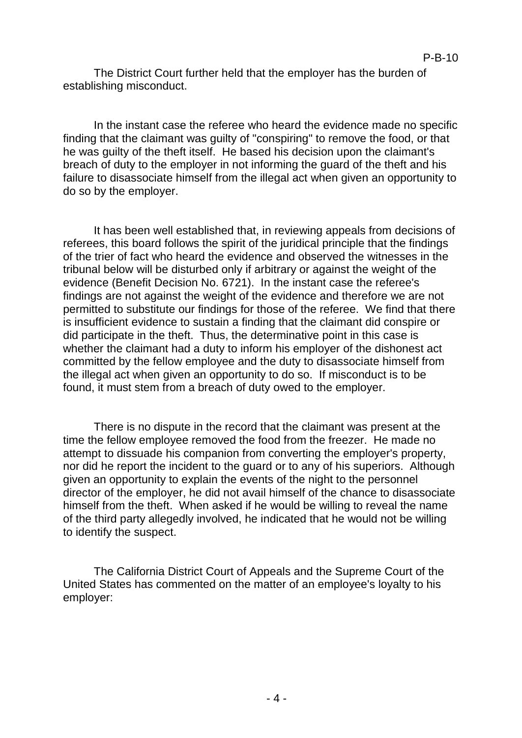The District Court further held that the employer has the burden of establishing misconduct.

In the instant case the referee who heard the evidence made no specific finding that the claimant was guilty of "conspiring" to remove the food, or that he was guilty of the theft itself. He based his decision upon the claimant's breach of duty to the employer in not informing the guard of the theft and his failure to disassociate himself from the illegal act when given an opportunity to do so by the employer.

It has been well established that, in reviewing appeals from decisions of referees, this board follows the spirit of the juridical principle that the findings of the trier of fact who heard the evidence and observed the witnesses in the tribunal below will be disturbed only if arbitrary or against the weight of the evidence (Benefit Decision No. 6721). In the instant case the referee's findings are not against the weight of the evidence and therefore we are not permitted to substitute our findings for those of the referee. We find that there is insufficient evidence to sustain a finding that the claimant did conspire or did participate in the theft. Thus, the determinative point in this case is whether the claimant had a duty to inform his employer of the dishonest act committed by the fellow employee and the duty to disassociate himself from the illegal act when given an opportunity to do so. If misconduct is to be found, it must stem from a breach of duty owed to the employer.

There is no dispute in the record that the claimant was present at the time the fellow employee removed the food from the freezer. He made no attempt to dissuade his companion from converting the employer's property, nor did he report the incident to the guard or to any of his superiors. Although given an opportunity to explain the events of the night to the personnel director of the employer, he did not avail himself of the chance to disassociate himself from the theft. When asked if he would be willing to reveal the name of the third party allegedly involved, he indicated that he would not be willing to identify the suspect.

The California District Court of Appeals and the Supreme Court of the United States has commented on the matter of an employee's loyalty to his employer: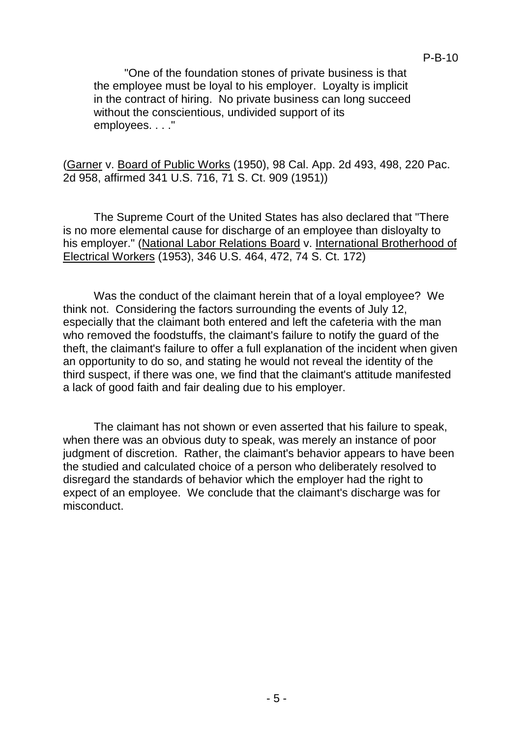"One of the foundation stones of private business is that the employee must be loyal to his employer. Loyalty is implicit in the contract of hiring. No private business can long succeed without the conscientious, undivided support of its employees. . . ."

(Garner v. Board of Public Works (1950), 98 Cal. App. 2d 493, 498, 220 Pac. 2d 958, affirmed 341 U.S. 716, 71 S. Ct. 909 (1951))

The Supreme Court of the United States has also declared that "There is no more elemental cause for discharge of an employee than disloyalty to his employer." (National Labor Relations Board v. International Brotherhood of Electrical Workers (1953), 346 U.S. 464, 472, 74 S. Ct. 172)

Was the conduct of the claimant herein that of a loyal employee? We think not. Considering the factors surrounding the events of July 12, especially that the claimant both entered and left the cafeteria with the man who removed the foodstuffs, the claimant's failure to notify the guard of the theft, the claimant's failure to offer a full explanation of the incident when given an opportunity to do so, and stating he would not reveal the identity of the third suspect, if there was one, we find that the claimant's attitude manifested a lack of good faith and fair dealing due to his employer.

The claimant has not shown or even asserted that his failure to speak, when there was an obvious duty to speak, was merely an instance of poor judgment of discretion. Rather, the claimant's behavior appears to have been the studied and calculated choice of a person who deliberately resolved to disregard the standards of behavior which the employer had the right to expect of an employee. We conclude that the claimant's discharge was for misconduct.